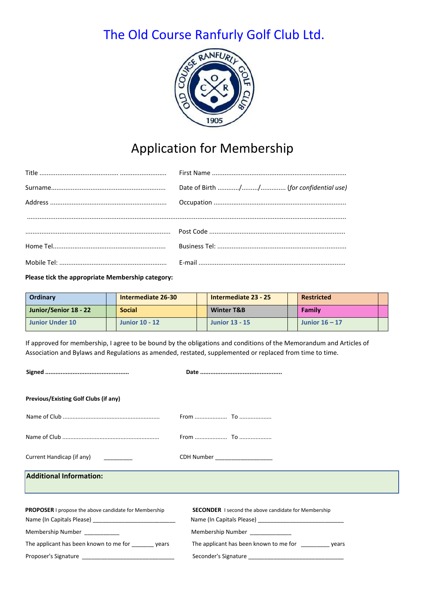## The Old Course Ranfurly Golf Club Ltd.



## Application for Membership

**Please tick the appropriate Membership category:** 

| <b>Ordinary</b>       | <b>Intermediate 26-30</b> | Intermediate 23 - 25  | <b>Restricted</b> |  |
|-----------------------|---------------------------|-----------------------|-------------------|--|
| Junior/Senior 18 - 22 | <b>Social</b>             | <b>Winter T&amp;B</b> | Family            |  |
| Junior Under 10       | <b>Junior 10 - 12</b>     | <b>Junior 13 - 15</b> | Junior $16 - 17$  |  |

If approved for membership, I agree to be bound by the obligations and conditions of the Memorandum and Articles of Association and Bylaws and Regulations as amended, restated, supplemented or replaced from time to time.

| <b>Previous/Existing Golf Clubs (if any)</b>                 |                                                             |
|--------------------------------------------------------------|-------------------------------------------------------------|
|                                                              |                                                             |
|                                                              |                                                             |
| Current Handicap (if any)                                    | CDH Number __________________                               |
| <b>Additional Information:</b>                               |                                                             |
|                                                              |                                                             |
| <b>PROPOSER</b> I propose the above candidate for Membership | <b>SECONDER</b> I second the above candidate for Membership |
|                                                              |                                                             |
| Membership Number __________                                 | Membership Number                                           |
| The applicant has been known to me for years                 | The applicant has been known to me for __________ years     |
|                                                              |                                                             |